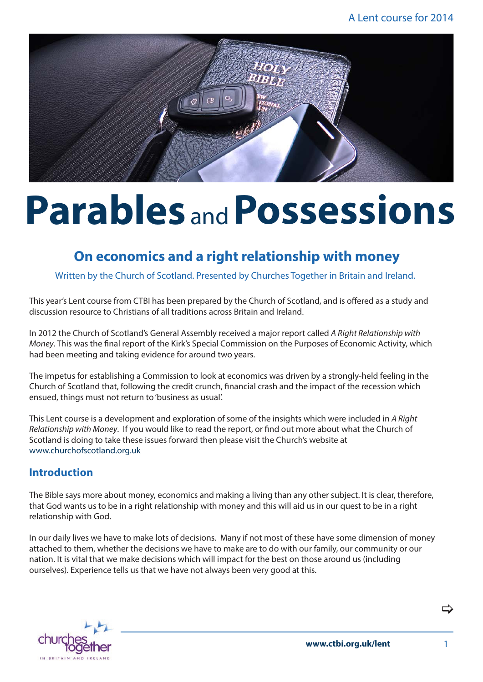

## **Parables** and**Possessions**

## **On economics and a right relationship with money**

Written by the Church of Scotland. Presented by Churches Together in Britain and Ireland.

This year's Lent course from CTBI has been prepared by the Church of Scotland, and is offered as a study and discussion resource to Christians of all traditions across Britain and Ireland.

In 2012 the Church of Scotland's General Assembly received a major report called *A Right Relationship with Money*. This was the final report of the Kirk's Special Commission on the Purposes of Economic Activity, which had been meeting and taking evidence for around two years.

The impetus for establishing a Commission to look at economics was driven by a strongly-held feeling in the Church of Scotland that, following the credit crunch, financial crash and the impact of the recession which ensued, things must not return to 'business as usual'.

This Lent course is a development and exploration of some of the insights which were included in *A Right Relationship with Money*. If you would like to read the report, or find out more about what the Church of Scotland is doing to take these issues forward then please visit the Church's website at www.churchofscotland.org.uk

#### **Introduction**

The Bible says more about money, economics and making a living than any other subject. It is clear, therefore, that God wants us to be in a right relationship with money and this will aid us in our quest to be in a right relationship with God.

In our daily lives we have to make lots of decisions. Many if not most of these have some dimension of money attached to them, whether the decisions we have to make are to do with our family, our community or our nation. It is vital that we make decisions which will impact for the best on those around us (including ourselves). Experience tells us that we have not always been very good at this.



**www.ctbi.org.uk/lent**

1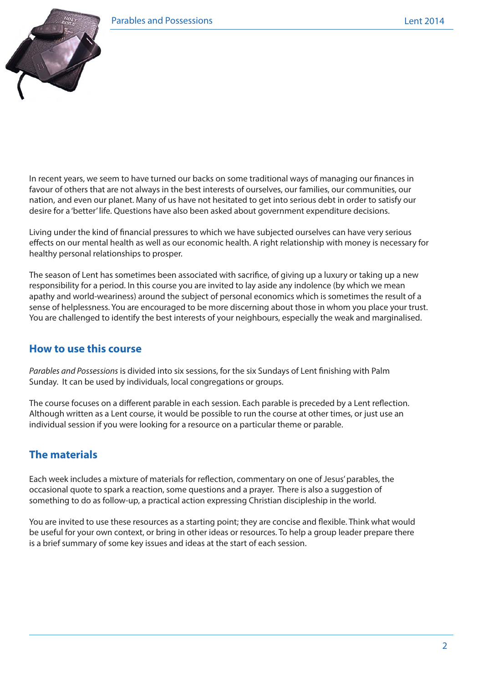

In recent years, we seem to have turned our backs on some traditional ways of managing our finances in favour of others that are not always in the best interests of ourselves, our families, our communities, our nation, and even our planet. Many of us have not hesitated to get into serious debt in order to satisfy our desire for a 'better' life. Questions have also been asked about government expenditure decisions.

Living under the kind of financial pressures to which we have subjected ourselves can have very serious effects on our mental health as well as our economic health. A right relationship with money is necessary for healthy personal relationships to prosper.

The season of Lent has sometimes been associated with sacrifice, of giving up a luxury or taking up a new responsibility for a period. In this course you are invited to lay aside any indolence (by which we mean apathy and world-weariness) around the subject of personal economics which is sometimes the result of a sense of helplessness. You are encouraged to be more discerning about those in whom you place your trust. You are challenged to identify the best interests of your neighbours, especially the weak and marginalised.

#### **How to use this course**

*Parables and Possessions* is divided into six sessions, for the six Sundays of Lent finishing with Palm Sunday. It can be used by individuals, local congregations or groups.

The course focuses on a different parable in each session. Each parable is preceded by a Lent reflection. Although written as a Lent course, it would be possible to run the course at other times, or just use an individual session if you were looking for a resource on a particular theme or parable.

## **The materials**

Each week includes a mixture of materials for reflection, commentary on one of Jesus' parables, the occasional quote to spark a reaction, some questions and a prayer. There is also a suggestion of something to do as follow-up, a practical action expressing Christian discipleship in the world.

You are invited to use these resources as a starting point; they are concise and flexible. Think what would be useful for your own context, or bring in other ideas or resources. To help a group leader prepare there is a brief summary of some key issues and ideas at the start of each session.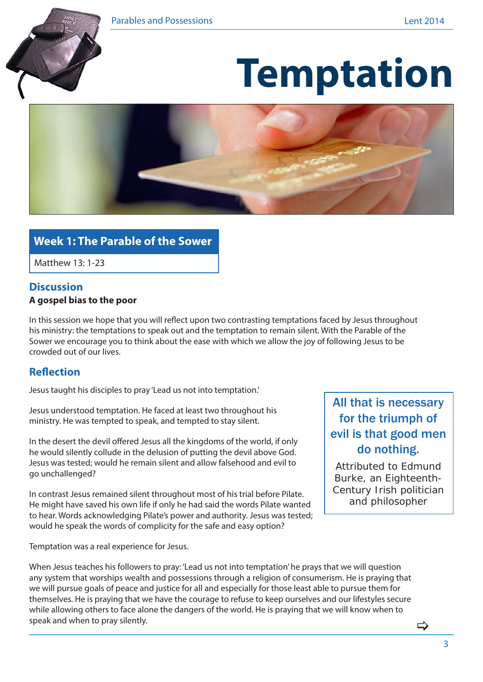

# **Temptation**



## **Week 1: The Parable of the Sower**

Matthew 13: 1-23

#### **Discussion**

#### **A gospel bias to the poor**

In this session we hope that you will reflect upon two contrasting temptations faced by Jesus throughout his ministry: the temptations to speak out and the temptation to remain silent. With the Parable of the Sower we encourage you to think about the ease with which we allow the joy of following Jesus to be crowded out of our lives.

#### **Reflection**

Jesus taught his disciples to pray 'Lead us not into temptation.'

Jesus understood temptation. He faced at least two throughout his ministry. He was tempted to speak, and tempted to stay silent.

In the desert the devil offered Jesus all the kingdoms of the world, if only he would silently collude in the delusion of putting the devil above God. Jesus was tested; would he remain silent and allow falsehood and evil to go unchallenged?

In contrast Jesus remained silent throughout most of his trial before Pilate. He might have saved his own life if only he had said the words Pilate wanted to hear. Words acknowledging Pilate's power and authority. Jesus was tested; would he speak the words of complicity for the safe and easy option?

Temptation was a real experience for Jesus.

## All that is necessary for the triumph of evil is that good men do nothing.

Attributed to Edmund Burke, an Eighteenth-Century Irish politician and philosopher

When Jesus teaches his followers to pray: 'Lead us not into temptation' he prays that we will question any system that worships wealth and possessions through a religion of consumerism. He is praying that we will pursue goals of peace and justice for all and especially for those least able to pursue them for themselves. He is praying that we have the courage to refuse to keep ourselves and our lifestyles secure while allowing others to face alone the dangers of the world. He is praying that we will know when to speak and when to pray silently.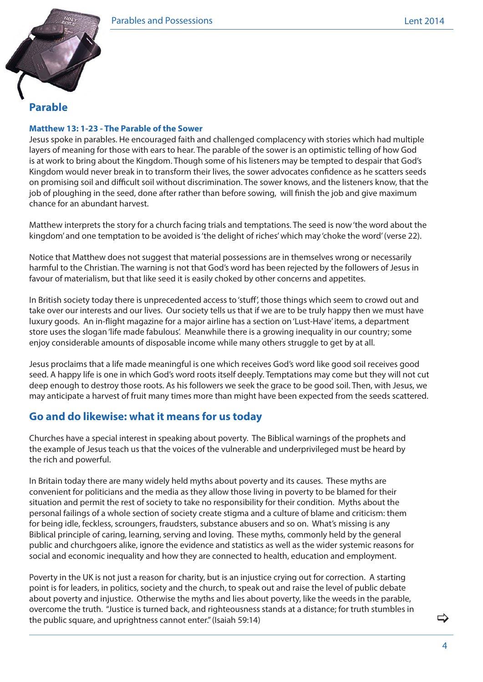

#### **Parable**

#### **Matthew 13: 1-23 - The Parable of the Sower**

Jesus spoke in parables. He encouraged faith and challenged complacency with stories which had multiple layers of meaning for those with ears to hear. The parable of the sower is an optimistic telling of how God is at work to bring about the Kingdom. Though some of his listeners may be tempted to despair that God's Kingdom would never break in to transform their lives, the sower advocates confidence as he scatters seeds on promising soil and difficult soil without discrimination. The sower knows, and the listeners know, that the job of ploughing in the seed, done after rather than before sowing, will finish the job and give maximum chance for an abundant harvest.

Matthew interprets the story for a church facing trials and temptations. The seed is now 'the word about the kingdom' and one temptation to be avoided is 'the delight of riches' which may 'choke the word' (verse 22).

Notice that Matthew does not suggest that material possessions are in themselves wrong or necessarily harmful to the Christian. The warning is not that God's word has been rejected by the followers of Jesus in favour of materialism, but that like seed it is easily choked by other concerns and appetites.

In British society today there is unprecedented access to 'stuff', those things which seem to crowd out and take over our interests and our lives. Our society tells us that if we are to be truly happy then we must have luxury goods. An in-flight magazine for a major airline has a section on 'Lust-Have' items, a department store uses the slogan 'life made fabulous'. Meanwhile there is a growing inequality in our country; some enjoy considerable amounts of disposable income while many others struggle to get by at all.

Jesus proclaims that a life made meaningful is one which receives God's word like good soil receives good seed. A happy life is one in which God's word roots itself deeply. Temptations may come but they will not cut deep enough to destroy those roots. As his followers we seek the grace to be good soil. Then, with Jesus, we may anticipate a harvest of fruit many times more than might have been expected from the seeds scattered.

#### **Go and do likewise: what it means for us today**

Churches have a special interest in speaking about poverty. The Biblical warnings of the prophets and the example of Jesus teach us that the voices of the vulnerable and underprivileged must be heard by the rich and powerful.

In Britain today there are many widely held myths about poverty and its causes. These myths are convenient for politicians and the media as they allow those living in poverty to be blamed for their situation and permit the rest of society to take no responsibility for their condition. Myths about the personal failings of a whole section of society create stigma and a culture of blame and criticism: them for being idle, feckless, scroungers, fraudsters, substance abusers and so on. What's missing is any Biblical principle of caring, learning, serving and loving. These myths, commonly held by the general public and churchgoers alike, ignore the evidence and statistics as well as the wider systemic reasons for social and economic inequality and how they are connected to health, education and employment.

Poverty in the UK is not just a reason for charity, but is an injustice crying out for correction. A starting point is for leaders, in politics, society and the church, to speak out and raise the level of public debate about poverty and injustice. Otherwise the myths and lies about poverty, like the weeds in the parable, overcome the truth. "Justice is turned back, and righteousness stands at a distance; for truth stumbles in the public square, and uprightness cannot enter." (Isaiah 59:14)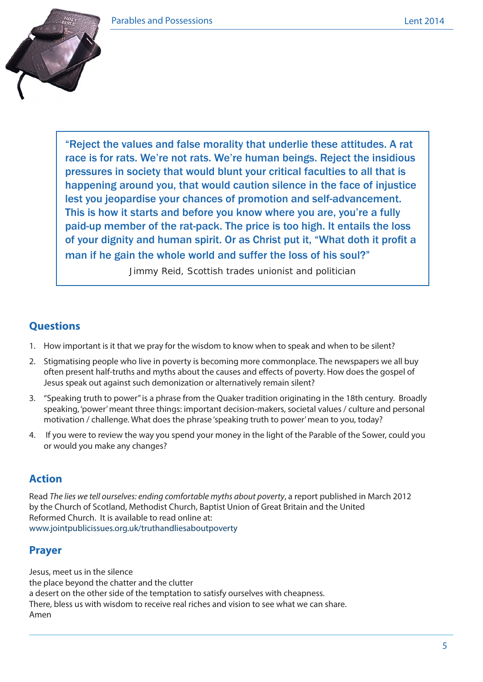

"Reject the values and false morality that underlie these attitudes. A rat race is for rats. We're not rats. We're human beings. Reject the insidious pressures in society that would blunt your critical faculties to all that is happening around you, that would caution silence in the face of injustice lest you jeopardise your chances of promotion and self-advancement. This is how it starts and before you know where you are, you're a fully paid-up member of the rat-pack. The price is too high. It entails the loss of your dignity and human spirit. Or as Christ put it, "What doth it profit a man if he gain the whole world and suffer the loss of his soul?"

Jimmy Reid, Scottish trades unionist and politician

#### **Questions**

- 1. How important is it that we pray for the wisdom to know when to speak and when to be silent?
- 2. Stigmatising people who live in poverty is becoming more commonplace. The newspapers we all buy often present half-truths and myths about the causes and effects of poverty. How does the gospel of Jesus speak out against such demonization or alternatively remain silent?
- 3. "Speaking truth to power" is a phrase from the Quaker tradition originating in the 18th century. Broadly speaking, 'power' meant three things: important decision-makers, societal values / culture and personal motivation / challenge. What does the phrase 'speaking truth to power' mean to you, today?
- 4. If you were to review the way you spend your money in the light of the Parable of the Sower, could you or would you make any changes?

## **Action**

Read *The lies we tell ourselves: ending comfortable myths about poverty*, a report published in March 2012 by the Church of Scotland, Methodist Church, Baptist Union of Great Britain and the United Reformed Church. It is available to read online at: www.jointpublicissues.org.uk/truthandliesaboutpoverty

## **Prayer**

Jesus, meet us in the silence the place beyond the chatter and the clutter a desert on the other side of the temptation to satisfy ourselves with cheapness. There, bless us with wisdom to receive real riches and vision to see what we can share. Amen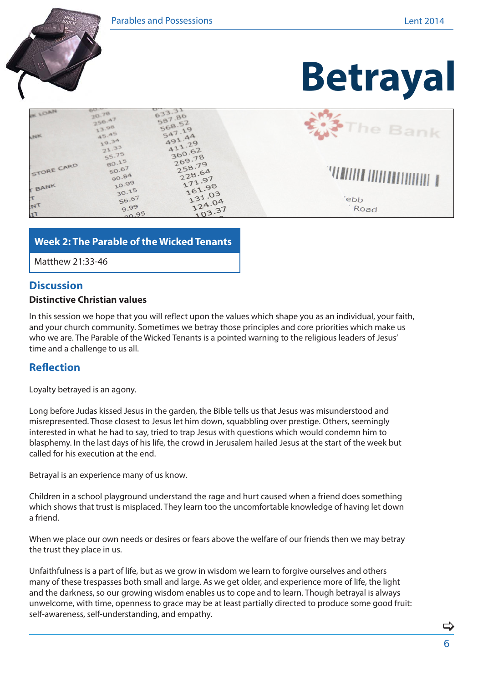

#### **Week 2: The Parable of the Wicked Tenants**

Matthew 21:33-46

#### **Discussion**

#### **Distinctive Christian values**

In this session we hope that you will reflect upon the values which shape you as an individual, your faith, and your church community. Sometimes we betray those principles and core priorities which make us who we are. The Parable of the Wicked Tenants is a pointed warning to the religious leaders of Jesus' time and a challenge to us all.

#### **Reflection**

Loyalty betrayed is an agony.

Long before Judas kissed Jesus in the garden, the Bible tells us that Jesus was misunderstood and misrepresented. Those closest to Jesus let him down, squabbling over prestige. Others, seemingly interested in what he had to say, tried to trap Jesus with questions which would condemn him to blasphemy. In the last days of his life, the crowd in Jerusalem hailed Jesus at the start of the week but called for his execution at the end.

Betrayal is an experience many of us know.

Children in a school playground understand the rage and hurt caused when a friend does something which shows that trust is misplaced. They learn too the uncomfortable knowledge of having let down a friend.

When we place our own needs or desires or fears above the welfare of our friends then we may betray the trust they place in us.

Unfaithfulness is a part of life, but as we grow in wisdom we learn to forgive ourselves and others many of these trespasses both small and large. As we get older, and experience more of life, the light and the darkness, so our growing wisdom enables us to cope and to learn. Though betrayal is always unwelcome, with time, openness to grace may be at least partially directed to produce some good fruit: self-awareness, self-understanding, and empathy.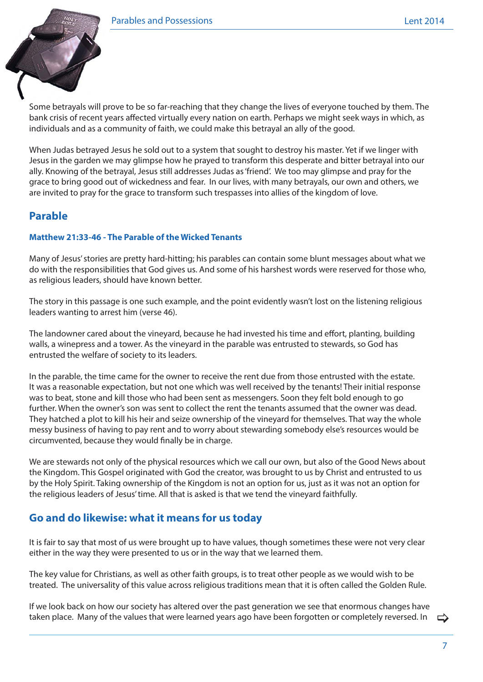

Some betrayals will prove to be so far-reaching that they change the lives of everyone touched by them. The bank crisis of recent years affected virtually every nation on earth. Perhaps we might seek ways in which, as individuals and as a community of faith, we could make this betrayal an ally of the good.

When Judas betrayed Jesus he sold out to a system that sought to destroy his master. Yet if we linger with Jesus in the garden we may glimpse how he prayed to transform this desperate and bitter betrayal into our ally. Knowing of the betrayal, Jesus still addresses Judas as 'friend'. We too may glimpse and pray for the grace to bring good out of wickedness and fear. In our lives, with many betrayals, our own and others, we are invited to pray for the grace to transform such trespasses into allies of the kingdom of love.

## **Parable**

#### **Matthew 21:33-46 - The Parable of the Wicked Tenants**

Many of Jesus' stories are pretty hard-hitting; his parables can contain some blunt messages about what we do with the responsibilities that God gives us. And some of his harshest words were reserved for those who, as religious leaders, should have known better.

The story in this passage is one such example, and the point evidently wasn't lost on the listening religious leaders wanting to arrest him (verse 46).

The landowner cared about the vineyard, because he had invested his time and effort, planting, building walls, a winepress and a tower. As the vineyard in the parable was entrusted to stewards, so God has entrusted the welfare of society to its leaders.

In the parable, the time came for the owner to receive the rent due from those entrusted with the estate. It was a reasonable expectation, but not one which was well received by the tenants! Their initial response was to beat, stone and kill those who had been sent as messengers. Soon they felt bold enough to go further. When the owner's son was sent to collect the rent the tenants assumed that the owner was dead. They hatched a plot to kill his heir and seize ownership of the vineyard for themselves. That way the whole messy business of having to pay rent and to worry about stewarding somebody else's resources would be circumvented, because they would finally be in charge.

We are stewards not only of the physical resources which we call our own, but also of the Good News about the Kingdom. This Gospel originated with God the creator, was brought to us by Christ and entrusted to us by the Holy Spirit. Taking ownership of the Kingdom is not an option for us, just as it was not an option for the religious leaders of Jesus' time. All that is asked is that we tend the vineyard faithfully.

## **Go and do likewise: what it means for us today**

It is fair to say that most of us were brought up to have values, though sometimes these were not very clear either in the way they were presented to us or in the way that we learned them.

The key value for Christians, as well as other faith groups, is to treat other people as we would wish to be treated. The universality of this value across religious traditions mean that it is often called the Golden Rule.

If we look back on how our society has altered over the past generation we see that enormous changes have taken place. Many of the values that were learned years ago have been forgotten or completely reversed. In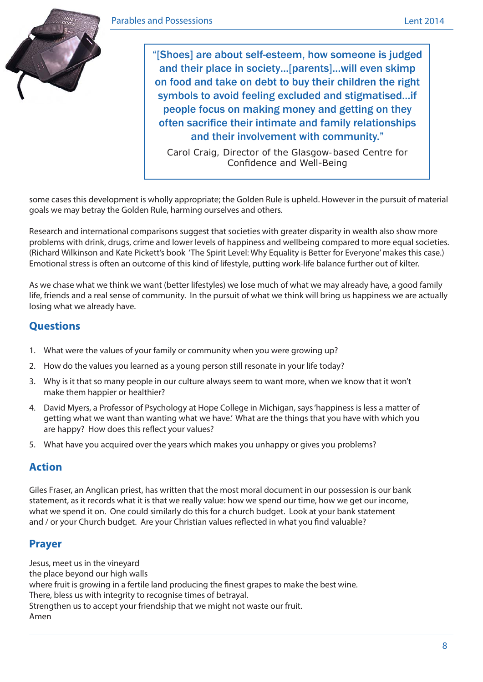

"[Shoes] are about self-esteem, how someone is judged and their place in society…[parents]…will even skimp on food and take on debt to buy their children the right symbols to avoid feeling excluded and stigmatised…if people focus on making money and getting on they often sacrifice their intimate and family relationships and their involvement with community."

Carol Craig, Director of the Glasgow-based Centre for Confidence and Well-Being

some cases this development is wholly appropriate; the Golden Rule is upheld. However in the pursuit of material goals we may betray the Golden Rule, harming ourselves and others.

Research and international comparisons suggest that societies with greater disparity in wealth also show more problems with drink, drugs, crime and lower levels of happiness and wellbeing compared to more equal societies. (Richard Wilkinson and Kate Pickett's book 'The Spirit Level: Why Equality is Better for Everyone' makes this case.) Emotional stress is often an outcome of this kind of lifestyle, putting work-life balance further out of kilter.

As we chase what we think we want (better lifestyles) we lose much of what we may already have, a good family life, friends and a real sense of community. In the pursuit of what we think will bring us happiness we are actually losing what we already have.

## **Questions**

- 1. What were the values of your family or community when you were growing up?
- 2. How do the values you learned as a young person still resonate in your life today?
- 3. Why is it that so many people in our culture always seem to want more, when we know that it won't make them happier or healthier?
- 4. David Myers, a Professor of Psychology at Hope College in Michigan, says 'happiness is less a matter of getting what we want than wanting what we have.' What are the things that you have with which you are happy? How does this reflect your values?
- 5. What have you acquired over the years which makes you unhappy or gives you problems?

## **Action**

Giles Fraser, an Anglican priest, has written that the most moral document in our possession is our bank statement, as it records what it is that we really value: how we spend our time, how we get our income, what we spend it on. One could similarly do this for a church budget. Look at your bank statement and / or your Church budget. Are your Christian values reflected in what you find valuable?

#### **Prayer**

Jesus, meet us in the vineyard the place beyond our high walls where fruit is growing in a fertile land producing the finest grapes to make the best wine. There, bless us with integrity to recognise times of betrayal. Strengthen us to accept your friendship that we might not waste our fruit. Amen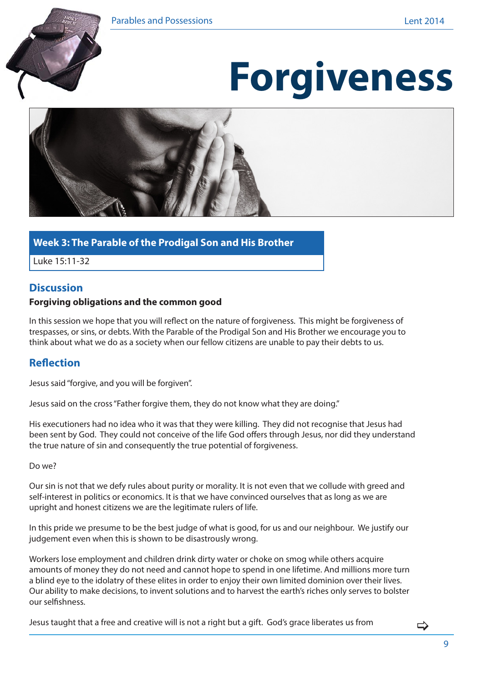

# **Forgiveness**



#### **Week 3: The Parable of the Prodigal Son and His Brother**

Luke 15:11-32

#### **Discussion**

#### **Forgiving obligations and the common good**

In this session we hope that you will reflect on the nature of forgiveness. This might be forgiveness of trespasses, or sins, or debts. With the Parable of the Prodigal Son and His Brother we encourage you to think about what we do as a society when our fellow citizens are unable to pay their debts to us.

#### **Reflection**

Jesus said "forgive, and you will be forgiven".

Jesus said on the cross "Father forgive them, they do not know what they are doing."

His executioners had no idea who it was that they were killing. They did not recognise that Jesus had been sent by God. They could not conceive of the life God offers through Jesus, nor did they understand the true nature of sin and consequently the true potential of forgiveness.

Do we?

Our sin is not that we defy rules about purity or morality. It is not even that we collude with greed and self-interest in politics or economics. It is that we have convinced ourselves that as long as we are upright and honest citizens we are the legitimate rulers of life.

In this pride we presume to be the best judge of what is good, for us and our neighbour. We justify our judgement even when this is shown to be disastrously wrong.

Workers lose employment and children drink dirty water or choke on smog while others acquire amounts of money they do not need and cannot hope to spend in one lifetime. And millions more turn a blind eye to the idolatry of these elites in order to enjoy their own limited dominion over their lives. Our ability to make decisions, to invent solutions and to harvest the earth's riches only serves to bolster our selfishness.

Jesus taught that a free and creative will is not a right but a gift. God's grace liberates us from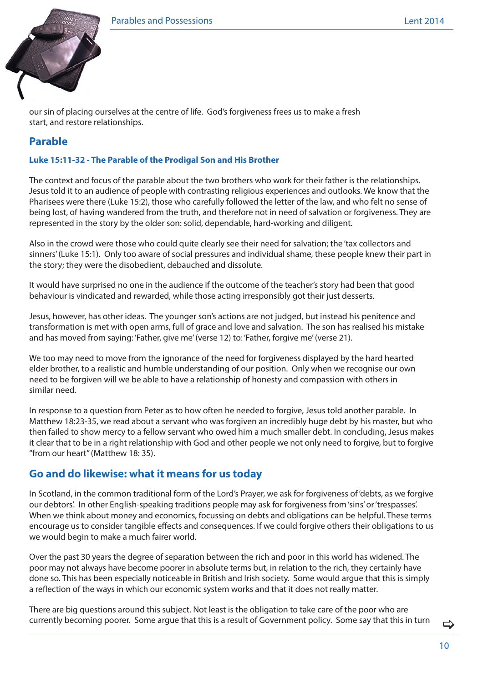

our sin of placing ourselves at the centre of life. God's forgiveness frees us to make a fresh start, and restore relationships.

## **Parable**

#### **Luke 15:11-32 - The Parable of the Prodigal Son and His Brother**

The context and focus of the parable about the two brothers who work for their father is the relationships. Jesus told it to an audience of people with contrasting religious experiences and outlooks. We know that the Pharisees were there (Luke 15:2), those who carefully followed the letter of the law, and who felt no sense of being lost, of having wandered from the truth, and therefore not in need of salvation or forgiveness. They are represented in the story by the older son: solid, dependable, hard-working and diligent.

Also in the crowd were those who could quite clearly see their need for salvation; the 'tax collectors and sinners' (Luke 15:1). Only too aware of social pressures and individual shame, these people knew their part in the story; they were the disobedient, debauched and dissolute.

It would have surprised no one in the audience if the outcome of the teacher's story had been that good behaviour is vindicated and rewarded, while those acting irresponsibly got their just desserts.

Jesus, however, has other ideas. The younger son's actions are not judged, but instead his penitence and transformation is met with open arms, full of grace and love and salvation. The son has realised his mistake and has moved from saying: 'Father, give me' (verse 12) to: 'Father, forgive me' (verse 21).

We too may need to move from the ignorance of the need for forgiveness displayed by the hard hearted elder brother, to a realistic and humble understanding of our position. Only when we recognise our own need to be forgiven will we be able to have a relationship of honesty and compassion with others in similar need.

In response to a question from Peter as to how often he needed to forgive, Jesus told another parable. In Matthew 18:23-35, we read about a servant who was forgiven an incredibly huge debt by his master, but who then failed to show mercy to a fellow servant who owed him a much smaller debt. In concluding, Jesus makes it clear that to be in a right relationship with God and other people we not only need to forgive, but to forgive "from our heart" (Matthew 18: 35).

#### **Go and do likewise: what it means for us today**

In Scotland, in the common traditional form of the Lord's Prayer, we ask for forgiveness of 'debts, as we forgive our debtors'. In other English-speaking traditions people may ask for forgiveness from 'sins' or 'trespasses'. When we think about money and economics, focussing on debts and obligations can be helpful. These terms encourage us to consider tangible effects and consequences. If we could forgive others their obligations to us we would begin to make a much fairer world.

Over the past 30 years the degree of separation between the rich and poor in this world has widened. The poor may not always have become poorer in absolute terms but, in relation to the rich, they certainly have done so. This has been especially noticeable in British and Irish society. Some would argue that this is simply a reflection of the ways in which our economic system works and that it does not really matter.

There are big questions around this subject. Not least is the obligation to take care of the poor who are currently becoming poorer. Some argue that this is a result of Government policy. Some say that this in turn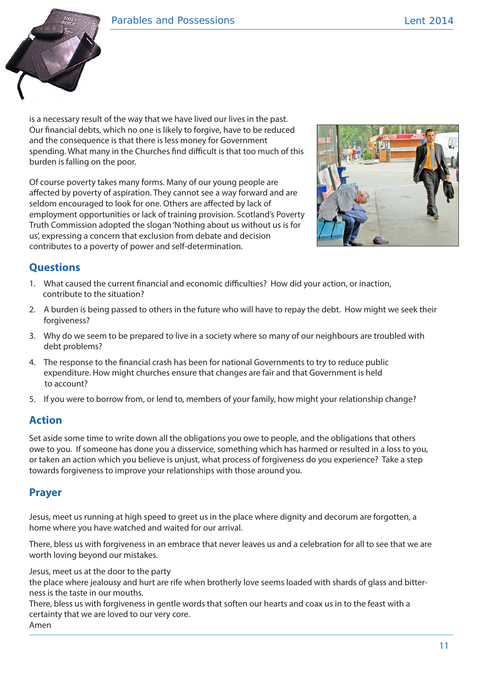

is a necessary result of the way that we have lived our lives in the past. Our financial debts, which no one is likely to forgive, have to be reduced and the consequence is that there is less money for Government spending. What many in the Churches find difficult is that too much of this burden is falling on the poor.

Of course poverty takes many forms. Many of our young people are affected by poverty of aspiration. They cannot see a way forward and are seldom encouraged to look for one. Others are affected by lack of employment opportunities or lack of training provision. Scotland's Poverty Truth Commission adopted the slogan 'Nothing about us without us is for us', expressing a concern that exclusion from debate and decision contributes to a poverty of power and self-determination.



## **Questions**

- 1. What caused the current financial and economic difficulties? How did your action, or inaction, contribute to the situation?
- 2. A burden is being passed to others in the future who will have to repay the debt. How might we seek their forgiveness?
- 3. Why do we seem to be prepared to live in a society where so many of our neighbours are troubled with debt problems?
- 4. The response to the financial crash has been for national Governments to try to reduce public expenditure. How might churches ensure that changes are fair and that Government is held to account?
- 5. If you were to borrow from, or lend to, members of your family, how might your relationship change?

## **Action**

Set aside some time to write down all the obligations you owe to people, and the obligations that others owe to you. If someone has done you a disservice, something which has harmed or resulted in a loss to you, or taken an action which you believe is unjust, what process of forgiveness do you experience? Take a step towards forgiveness to improve your relationships with those around you.

#### **Prayer**

Jesus, meet us running at high speed to greet us in the place where dignity and decorum are forgotten, a home where you have watched and waited for our arrival.

There, bless us with forgiveness in an embrace that never leaves us and a celebration for all to see that we are worth loving beyond our mistakes.

Jesus, meet us at the door to the party

the place where jealousy and hurt are rife when brotherly love seems loaded with shards of glass and bitterness is the taste in our mouths.

There, bless us with forgiveness in gentle words that soften our hearts and coax us in to the feast with a certainty that we are loved to our very core. Amen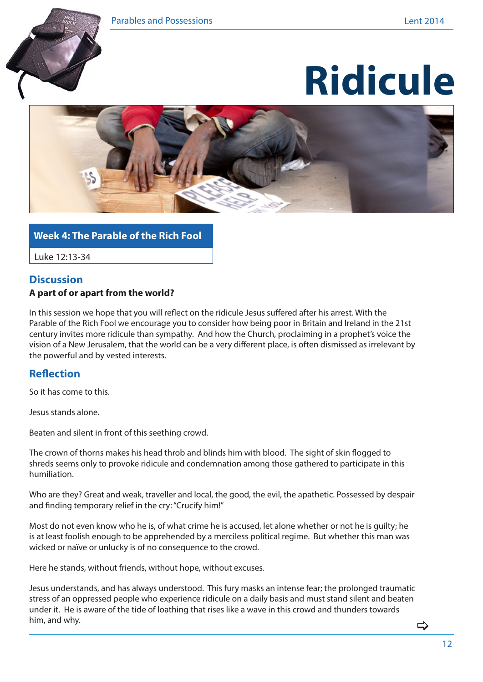





#### **Week 4: The Parable of the Rich Fool**

Luke 12:13-34

#### **Discussion A part of or apart from the world?**

In this session we hope that you will reflect on the ridicule Jesus suffered after his arrest. With the Parable of the Rich Fool we encourage you to consider how being poor in Britain and Ireland in the 21st century invites more ridicule than sympathy. And how the Church, proclaiming in a prophet's voice the vision of a New Jerusalem, that the world can be a very different place, is often dismissed as irrelevant by the powerful and by vested interests.

#### **Reflection**

So it has come to this.

Jesus stands alone.

Beaten and silent in front of this seething crowd.

The crown of thorns makes his head throb and blinds him with blood. The sight of skin flogged to shreds seems only to provoke ridicule and condemnation among those gathered to participate in this humiliation.

Who are they? Great and weak, traveller and local, the good, the evil, the apathetic. Possessed by despair and finding temporary relief in the cry: "Crucify him!"

Most do not even know who he is, of what crime he is accused, let alone whether or not he is guilty; he is at least foolish enough to be apprehended by a merciless political regime. But whether this man was wicked or naïve or unlucky is of no consequence to the crowd.

Here he stands, without friends, without hope, without excuses.

Jesus understands, and has always understood. This fury masks an intense fear; the prolonged traumatic stress of an oppressed people who experience ridicule on a daily basis and must stand silent and beaten under it. He is aware of the tide of loathing that rises like a wave in this crowd and thunders towards him, and why.

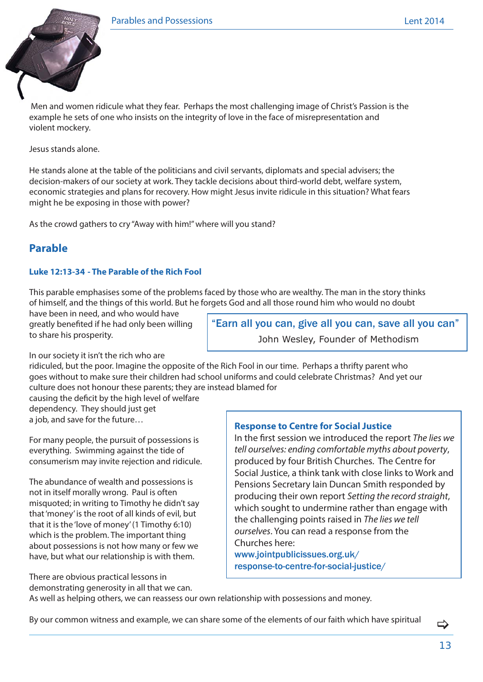

Men and women ridicule what they fear. Perhaps the most challenging image of Christ's Passion is the example he sets of one who insists on the integrity of love in the face of misrepresentation and violent mockery.

Jesus stands alone.

He stands alone at the table of the politicians and civil servants, diplomats and special advisers; the decision-makers of our society at work. They tackle decisions about third-world debt, welfare system, economic strategies and plans for recovery. How might Jesus invite ridicule in this situation? What fears might he be exposing in those with power?

As the crowd gathers to cry "Away with him!" where will you stand?

### **Parable**

#### **Luke 12:13-34 - The Parable of the Rich Fool**

This parable emphasises some of the problems faced by those who are wealthy. The man in the story thinks of himself, and the things of this world. But he forgets God and all those round him who would no doubt

have been in need, and who would have greatly benefited if he had only been willing to share his prosperity.

In our society it isn't the rich who are

"Earn all you can, give all you can, save all you can" John Wesley, Founder of Methodism

ridiculed, but the poor. Imagine the opposite of the Rich Fool in our time. Perhaps a thrifty parent who goes without to make sure their children had school uniforms and could celebrate Christmas? And yet our culture does not honour these parents; they are instead blamed for

causing the deficit by the high level of welfare dependency. They should just get a job, and save for the future…

For many people, the pursuit of possessions is everything. Swimming against the tide of consumerism may invite rejection and ridicule.

The abundance of wealth and possessions is not in itself morally wrong. Paul is often misquoted; in writing to Timothy he didn't say that 'money' is the root of all kinds of evil, but that it is the 'love of money' (1 Timothy 6:10) which is the problem. The important thing about possessions is not how many or few we have, but what our relationship is with them.

There are obvious practical lessons in demonstrating generosity in all that we can.

#### **Response to Centre for Social Justice**

In the first session we introduced the report *The lies we tell ourselves: ending comfortable myths about poverty*, produced by four British Churches. The Centre for Social Justice, a think tank with close links to Work and Pensions Secretary Iain Duncan Smith responded by producing their own report *Setting the record straight*, which sought to undermine rather than engage with the challenging points raised in *The lies we tell ourselves*. You can read a response from the Churches here:

www.jointpublicissues.org.uk/ response-to-centre-for-social-justice/

As well as helping others, we can reassess our own relationship with possessions and money.

By our common witness and example, we can share some of the elements of our faith which have spiritual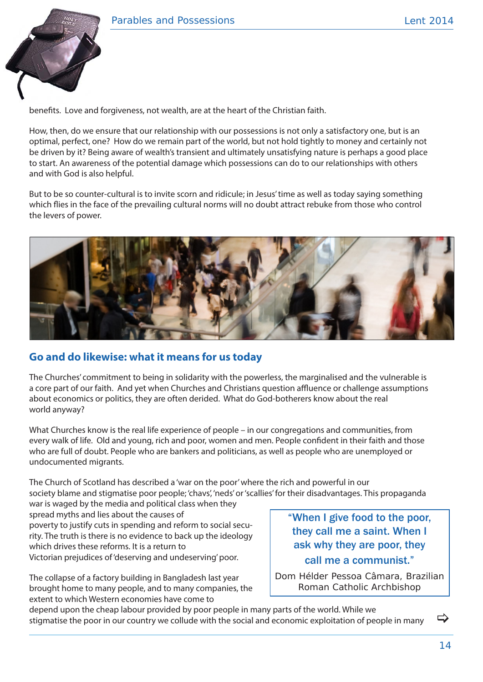

benefits. Love and forgiveness, not wealth, are at the heart of the Christian faith.

How, then, do we ensure that our relationship with our possessions is not only a satisfactory one, but is an optimal, perfect, one? How do we remain part of the world, but not hold tightly to money and certainly not be driven by it? Being aware of wealth's transient and ultimately unsatisfying nature is perhaps a good place to start. An awareness of the potential damage which possessions can do to our relationships with others and with God is also helpful.

But to be so counter-cultural is to invite scorn and ridicule; in Jesus' time as well as today saying something which flies in the face of the prevailing cultural norms will no doubt attract rebuke from those who control the levers of power.



## **Go and do likewise: what it means for us today**

The Churches' commitment to being in solidarity with the powerless, the marginalised and the vulnerable is a core part of our faith. And yet when Churches and Christians question affluence or challenge assumptions about economics or politics, they are often derided. What do God-botherers know about the real world anyway?

What Churches know is the real life experience of people – in our congregations and communities, from every walk of life. Old and young, rich and poor, women and men. People confident in their faith and those who are full of doubt. People who are bankers and politicians, as well as people who are unemployed or undocumented migrants.

The Church of Scotland has described a 'war on the poor' where the rich and powerful in our society blame and stigmatise poor people; 'chavs', 'neds' or 'scallies' for their disadvantages. This propaganda war is waged by the media and political class when they

spread myths and lies about the causes of poverty to justify cuts in spending and reform to social security. The truth is there is no evidence to back up the ideology which drives these reforms. It is a return to Victorian prejudices of 'deserving and undeserving' poor.

The collapse of a factory building in Bangladesh last year brought home to many people, and to many companies, the extent to which Western economies have come to

"When I give food to the poor, they call me a saint. When I ask why they are poor, they call me a communist."

Dom Hélder Pessoa Câmara, Brazilian Roman Catholic Archbishop

depend upon the cheap labour provided by poor people in many parts of the world. While we stigmatise the poor in our country we collude with the social and economic exploitation of people in many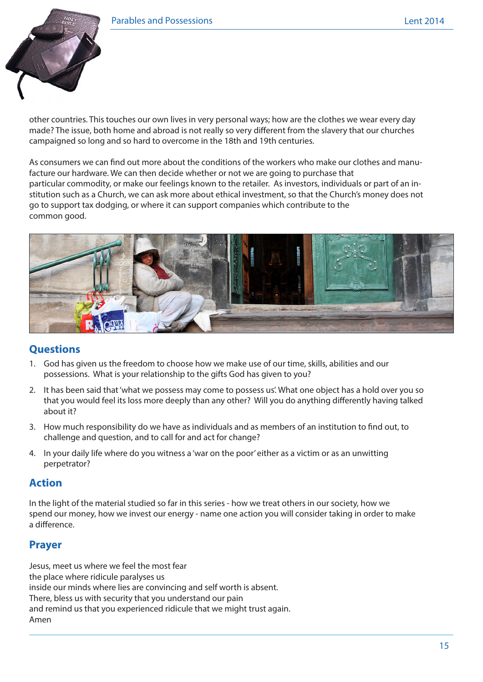

other countries. This touches our own lives in very personal ways; how are the clothes we wear every day made? The issue, both home and abroad is not really so very different from the slavery that our churches campaigned so long and so hard to overcome in the 18th and 19th centuries.

As consumers we can find out more about the conditions of the workers who make our clothes and manufacture our hardware. We can then decide whether or not we are going to purchase that particular commodity, or make our feelings known to the retailer. As investors, individuals or part of an institution such as a Church, we can ask more about ethical investment, so that the Church's money does not go to support tax dodging, or where it can support companies which contribute to the common good.



#### **Questions**

- 1. God has given us the freedom to choose how we make use of our time, skills, abilities and our possessions. What is your relationship to the gifts God has given to you?
- 2. It has been said that 'what we possess may come to possess us'. What one object has a hold over you so that you would feel its loss more deeply than any other? Will you do anything differently having talked about it?
- 3. How much responsibility do we have as individuals and as members of an institution to find out, to challenge and question, and to call for and act for change?
- 4. In your daily life where do you witness a 'war on the poor' either as a victim or as an unwitting perpetrator?

#### **Action**

In the light of the material studied so far in this series - how we treat others in our society, how we spend our money, how we invest our energy - name one action you will consider taking in order to make a difference.

#### **Prayer**

Jesus, meet us where we feel the most fear the place where ridicule paralyses us inside our minds where lies are convincing and self worth is absent. There, bless us with security that you understand our pain and remind us that you experienced ridicule that we might trust again. Amen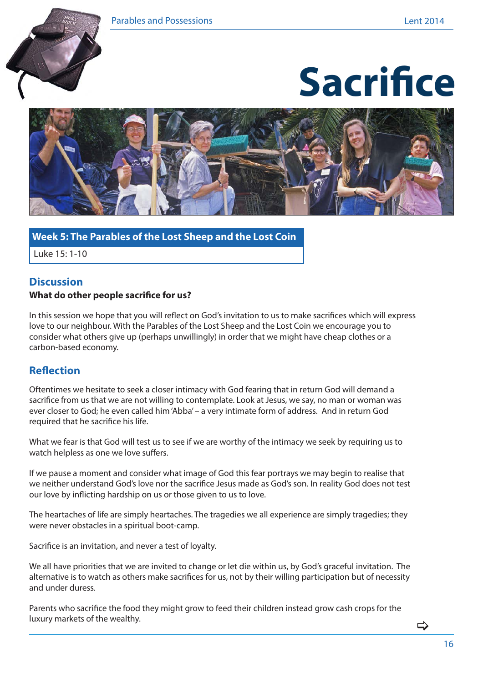





#### **Week 5: The Parables of the Lost Sheep and the Lost Coin**

Luke 15: 1-10

#### **Discussion What do other people sacrifice for us?**

In this session we hope that you will reflect on God's invitation to us to make sacrifices which will express love to our neighbour. With the Parables of the Lost Sheep and the Lost Coin we encourage you to consider what others give up (perhaps unwillingly) in order that we might have cheap clothes or a carbon-based economy.

#### **Reflection**

Oftentimes we hesitate to seek a closer intimacy with God fearing that in return God will demand a sacrifice from us that we are not willing to contemplate. Look at Jesus, we say, no man or woman was ever closer to God; he even called him 'Abba' – a very intimate form of address. And in return God required that he sacrifice his life.

What we fear is that God will test us to see if we are worthy of the intimacy we seek by requiring us to watch helpless as one we love suffers.

If we pause a moment and consider what image of God this fear portrays we may begin to realise that we neither understand God's love nor the sacrifice Jesus made as God's son. In reality God does not test our love by inflicting hardship on us or those given to us to love.

The heartaches of life are simply heartaches. The tragedies we all experience are simply tragedies; they were never obstacles in a spiritual boot-camp.

Sacrifice is an invitation, and never a test of loyalty.

We all have priorities that we are invited to change or let die within us, by God's graceful invitation. The alternative is to watch as others make sacrifices for us, not by their willing participation but of necessity and under duress.

Parents who sacrifice the food they might grow to feed their children instead grow cash crops for the luxury markets of the wealthy.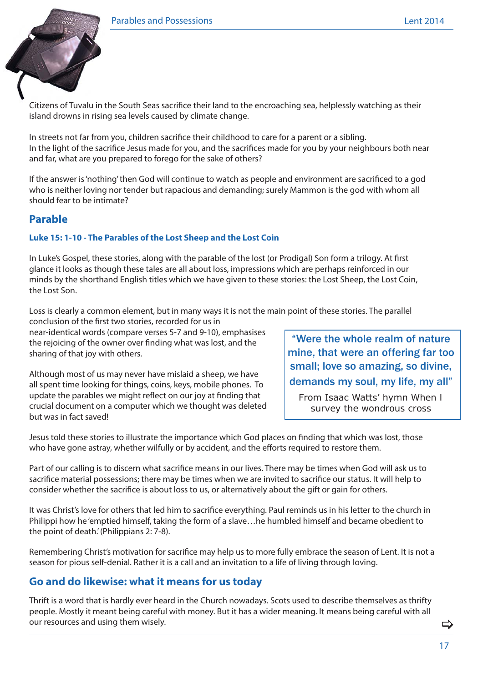

Citizens of Tuvalu in the South Seas sacrifice their land to the encroaching sea, helplessly watching as their island drowns in rising sea levels caused by climate change.

In streets not far from you, children sacrifice their childhood to care for a parent or a sibling. In the light of the sacrifice Jesus made for you, and the sacrifices made for you by your neighbours both near and far, what are you prepared to forego for the sake of others?

If the answer is 'nothing' then God will continue to watch as people and environment are sacrificed to a god who is neither loving nor tender but rapacious and demanding; surely Mammon is the god with whom all should fear to be intimate?

### **Parable**

#### **Luke 15: 1-10 - The Parables of the Lost Sheep and the Lost Coin**

In Luke's Gospel, these stories, along with the parable of the lost (or Prodigal) Son form a trilogy. At first glance it looks as though these tales are all about loss, impressions which are perhaps reinforced in our minds by the shorthand English titles which we have given to these stories: the Lost Sheep, the Lost Coin, the Lost Son.

Loss is clearly a common element, but in many ways it is not the main point of these stories. The parallel conclusion of the first two stories, recorded for us in

near-identical words (compare verses 5-7 and 9-10), emphasises the rejoicing of the owner over finding what was lost, and the sharing of that joy with others.

Although most of us may never have mislaid a sheep, we have all spent time looking for things, coins, keys, mobile phones. To update the parables we might reflect on our joy at finding that crucial document on a computer which we thought was deleted but was in fact saved!

"Were the whole realm of nature mine, that were an offering far too small; love so amazing, so divine, demands my soul, my life, my all"

From Isaac Watts' hymn *When I survey the wondrous cross*

Jesus told these stories to illustrate the importance which God places on finding that which was lost, those who have gone astray, whether wilfully or by accident, and the efforts required to restore them.

Part of our calling is to discern what sacrifice means in our lives. There may be times when God will ask us to sacrifice material possessions; there may be times when we are invited to sacrifice our status. It will help to consider whether the sacrifice is about loss to us, or alternatively about the gift or gain for others.

It was Christ's love for others that led him to sacrifice everything. Paul reminds us in his letter to the church in Philippi how he 'emptied himself, taking the form of a slave…he humbled himself and became obedient to the point of death.' (Philippians 2: 7-8).

Remembering Christ's motivation for sacrifice may help us to more fully embrace the season of Lent. It is not a season for pious self-denial. Rather it is a call and an invitation to a life of living through loving.

#### **Go and do likewise: what it means for us today**

Thrift is a word that is hardly ever heard in the Church nowadays. Scots used to describe themselves as thrifty people. Mostly it meant being careful with money. But it has a wider meaning. It means being careful with all our resources and using them wisely.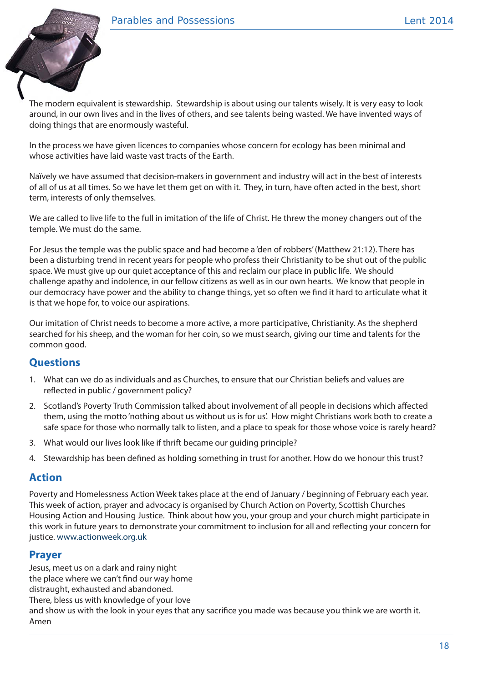

The modern equivalent is stewardship. Stewardship is about using our talents wisely. It is very easy to look around, in our own lives and in the lives of others, and see talents being wasted. We have invented ways of doing things that are enormously wasteful.

In the process we have given licences to companies whose concern for ecology has been minimal and whose activities have laid waste vast tracts of the Earth.

Naïvely we have assumed that decision-makers in government and industry will act in the best of interests of all of us at all times. So we have let them get on with it. They, in turn, have often acted in the best, short term, interests of only themselves.

We are called to live life to the full in imitation of the life of Christ. He threw the money changers out of the temple. We must do the same.

For Jesus the temple was the public space and had become a 'den of robbers' (Matthew 21:12). There has been a disturbing trend in recent years for people who profess their Christianity to be shut out of the public space. We must give up our quiet acceptance of this and reclaim our place in public life. We should challenge apathy and indolence, in our fellow citizens as well as in our own hearts. We know that people in our democracy have power and the ability to change things, yet so often we find it hard to articulate what it is that we hope for, to voice our aspirations.

Our imitation of Christ needs to become a more active, a more participative, Christianity. As the shepherd searched for his sheep, and the woman for her coin, so we must search, giving our time and talents for the common good.

#### **Questions**

- 1. What can we do as individuals and as Churches, to ensure that our Christian beliefs and values are reflected in public / government policy?
- 2. Scotland's Poverty Truth Commission talked about involvement of all people in decisions which affected them, using the motto 'nothing about us without us is for us'. How might Christians work both to create a safe space for those who normally talk to listen, and a place to speak for those whose voice is rarely heard?
- 3. What would our lives look like if thrift became our guiding principle?
- 4. Stewardship has been defined as holding something in trust for another. How do we honour this trust?

#### **Action**

Poverty and Homelessness Action Week takes place at the end of January / beginning of February each year. This week of action, prayer and advocacy is organised by Church Action on Poverty, Scottish Churches Housing Action and Housing Justice. Think about how you, your group and your church might participate in this work in future years to demonstrate your commitment to inclusion for all and reflecting your concern for justice. www.actionweek.org.uk

#### **Prayer**

Jesus, meet us on a dark and rainy night the place where we can't find our way home distraught, exhausted and abandoned. There, bless us with knowledge of your love and show us with the look in your eyes that any sacrifice you made was because you think we are worth it. Amen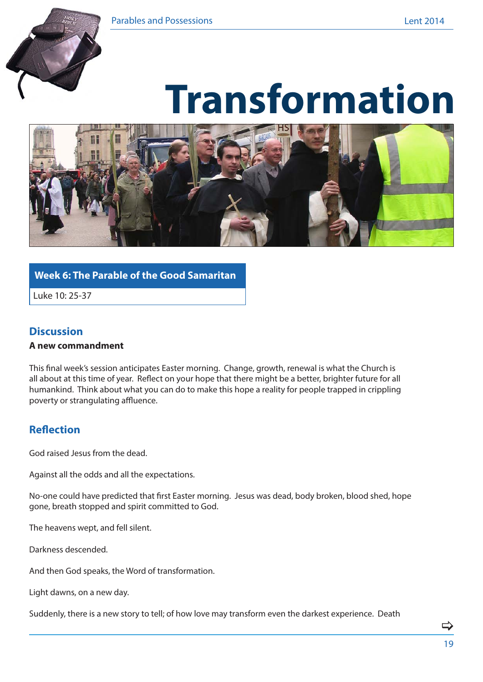

# **Transformation**



#### **Week 6: The Parable of the Good Samaritan**

Luke 10: 25-37

#### **Discussion**

#### **A new commandment**

This final week's session anticipates Easter morning. Change, growth, renewal is what the Church is all about at this time of year. Reflect on your hope that there might be a better, brighter future for all humankind. Think about what you can do to make this hope a reality for people trapped in crippling poverty or strangulating affluence.

## **Reflection**

God raised Jesus from the dead.

Against all the odds and all the expectations.

No-one could have predicted that first Easter morning. Jesus was dead, body broken, blood shed, hope gone, breath stopped and spirit committed to God.

The heavens wept, and fell silent.

Darkness descended.

And then God speaks, the Word of transformation.

Light dawns, on a new day.

Suddenly, there is a new story to tell; of how love may transform even the darkest experience. Death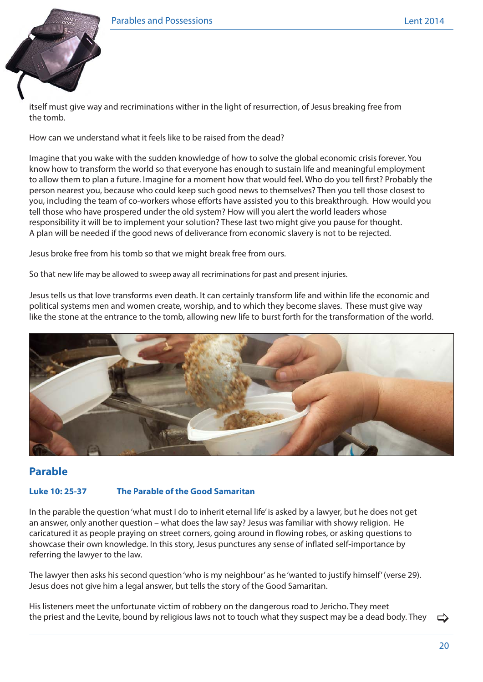

itself must give way and recriminations wither in the light of resurrection, of Jesus breaking free from the tomb.

How can we understand what it feels like to be raised from the dead?

Imagine that you wake with the sudden knowledge of how to solve the global economic crisis forever. You know how to transform the world so that everyone has enough to sustain life and meaningful employment to allow them to plan a future. Imagine for a moment how that would feel. Who do you tell first? Probably the person nearest you, because who could keep such good news to themselves? Then you tell those closest to you, including the team of co-workers whose efforts have assisted you to this breakthrough. How would you tell those who have prospered under the old system? How will you alert the world leaders whose responsibility it will be to implement your solution? These last two might give you pause for thought. A plan will be needed if the good news of deliverance from economic slavery is not to be rejected.

Jesus broke free from his tomb so that we might break free from ours.

So that new life may be allowed to sweep away all recriminations for past and present injuries.

Jesus tells us that love transforms even death. It can certainly transform life and within life the economic and political systems men and women create, worship, and to which they become slaves. These must give way like the stone at the entrance to the tomb, allowing new life to burst forth for the transformation of the world.



## **Parable**

#### **Luke 10: 25-37 The Parable of the Good Samaritan**

In the parable the question 'what must I do to inherit eternal life' is asked by a lawyer, but he does not get an answer, only another question – what does the law say? Jesus was familiar with showy religion. He caricatured it as people praying on street corners, going around in flowing robes, or asking questions to showcase their own knowledge. In this story, Jesus punctures any sense of inflated self-importance by referring the lawyer to the law.

The lawyer then asks his second question 'who is my neighbour' as he 'wanted to justify himself' (verse 29). Jesus does not give him a legal answer, but tells the story of the Good Samaritan.

His listeners meet the unfortunate victim of robbery on the dangerous road to Jericho. They meet the priest and the Levite, bound by religious laws not to touch what they suspect may be a dead body. They  $\Rightarrow$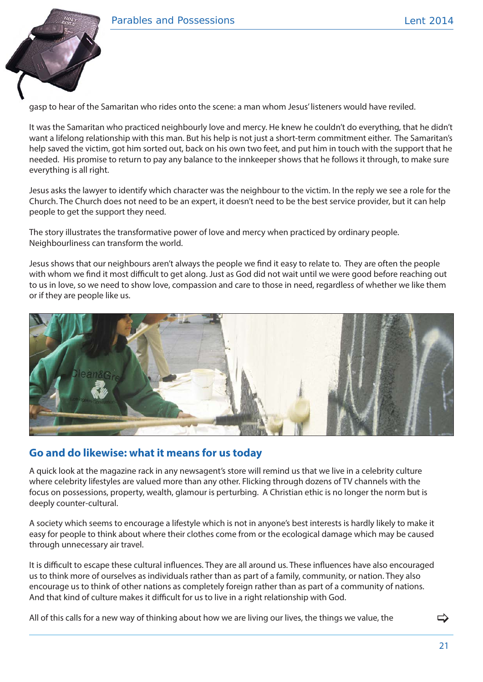

gasp to hear of the Samaritan who rides onto the scene: a man whom Jesus' listeners would have reviled.

It was the Samaritan who practiced neighbourly love and mercy. He knew he couldn't do everything, that he didn't want a lifelong relationship with this man. But his help is not just a short-term commitment either. The Samaritan's help saved the victim, got him sorted out, back on his own two feet, and put him in touch with the support that he needed. His promise to return to pay any balance to the innkeeper shows that he follows it through, to make sure everything is all right.

Jesus asks the lawyer to identify which character was the neighbour to the victim. In the reply we see a role for the Church. The Church does not need to be an expert, it doesn't need to be the best service provider, but it can help people to get the support they need.

The story illustrates the transformative power of love and mercy when practiced by ordinary people. Neighbourliness can transform the world.

Jesus shows that our neighbours aren't always the people we find it easy to relate to. They are often the people with whom we find it most difficult to get along. Just as God did not wait until we were good before reaching out to us in love, so we need to show love, compassion and care to those in need, regardless of whether we like them or if they are people like us.



#### **Go and do likewise: what it means for us today**

A quick look at the magazine rack in any newsagent's store will remind us that we live in a celebrity culture where celebrity lifestyles are valued more than any other. Flicking through dozens of TV channels with the focus on possessions, property, wealth, glamour is perturbing. A Christian ethic is no longer the norm but is deeply counter-cultural.

A society which seems to encourage a lifestyle which is not in anyone's best interests is hardly likely to make it easy for people to think about where their clothes come from or the ecological damage which may be caused through unnecessary air travel.

It is difficult to escape these cultural influences. They are all around us. These influences have also encouraged us to think more of ourselves as individuals rather than as part of a family, community, or nation. They also encourage us to think of other nations as completely foreign rather than as part of a community of nations. And that kind of culture makes it difficult for us to live in a right relationship with God.

All of this calls for a new way of thinking about how we are living our lives, the things we value, the